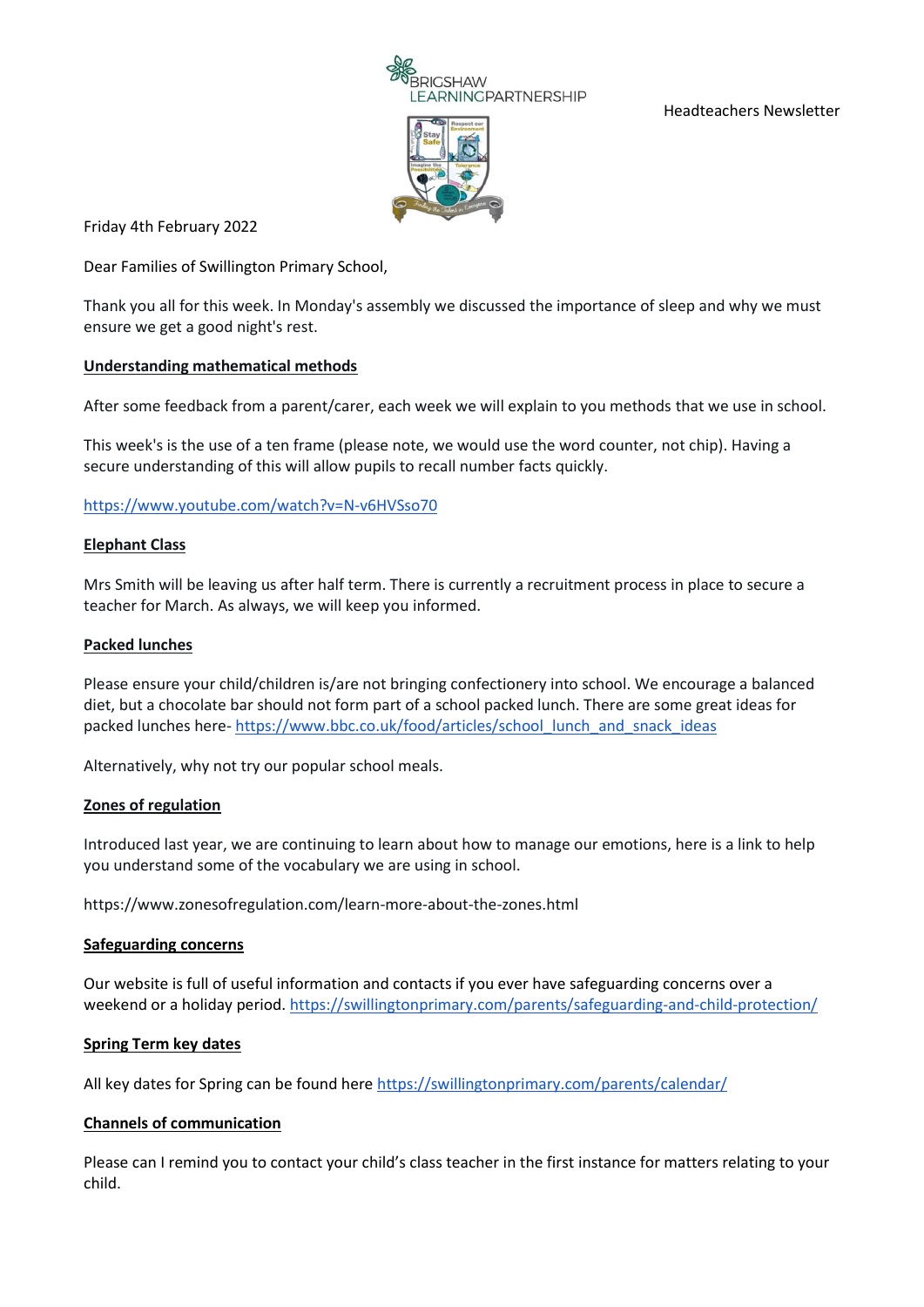

Headteachers Newsletter



Friday 4th February 2022

Dear Families of Swillington Primary School,

Thank you all for this week. In Monday's assembly we discussed the importance of sleep and why we must ensure we get a good night's rest.

# **Understanding mathematical methods**

After some feedback from a parent/carer, each week we will explain to you methods that we use in school.

This week's is the use of a ten frame (please note, we would use the word counter, not chip). Having a secure understanding of this will allow pupils to recall number facts quickly.

# <https://www.youtube.com/watch?v=N-v6HVSso70>

## **Elephant Class**

Mrs Smith will be leaving us after half term. There is currently a recruitment process in place to secure a teacher for March. As always, we will keep you informed.

# **Packed lunches**

Please ensure your child/children is/are not bringing confectionery into school. We encourage a balanced diet, but a chocolate bar should not form part of a school packed lunch. There are some great ideas for packed lunches here- [https://www.bbc.co.uk/food/articles/school\\_lunch\\_and\\_snack\\_ideas](https://www.bbc.co.uk/food/articles/school_lunch_and_snack_ideas)

Alternatively, why not try our popular school meals.

## **Zones of regulation**

Introduced last year, we are continuing to learn about how to manage our emotions, here is a link to help you understand some of the vocabulary we are using in school.

https://www.zonesofregulation.com/learn-more-about-the-zones.html

## **Safeguarding concerns**

Our website is full of useful information and contacts if you ever have safeguarding concerns over a weekend or a holiday period.<https://swillingtonprimary.com/parents/safeguarding-and-child-protection/>

## **Spring Term key dates**

All key dates for Spring can be found here<https://swillingtonprimary.com/parents/calendar/>

## **Channels of communication**

Please can I remind you to contact your child's class teacher in the first instance for matters relating to your child.